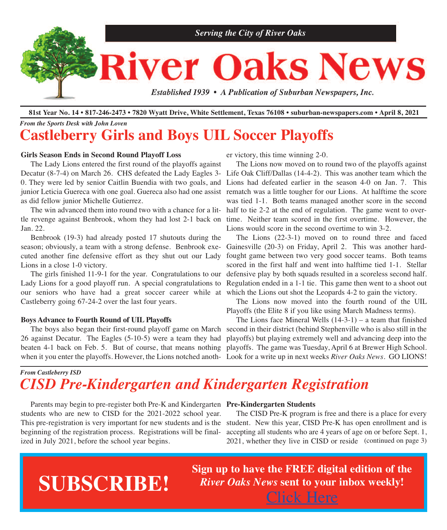

81st Year No. 14 • 817-246-2473 • 7820 Wyatt Drive, White Settlement, Texas 76108 • suburban-newspapers.com • April 8, 2021

### *From the Sports Desk with John Loven* **Castleberry Girls and Boys UIL Soccer Playoffs**

#### **Girls Season Ends in Second Round Playoff Loss**

 The Lady Lions entered the first round of the playoffs against Decatur (8-7-4) on March 26. CHS defeated the Lady Eagles 3- Life Oak Cliff/Dallas (14-4-2). This was another team which the 0. They were led by senior Caitlin Buendia with two goals, and junior Leticia Guereca with one goal. Guereca also had one assist as did fellow junior Michelle Gutierrez.

tle revenge against Benbrook, whom they had lost 2-1 back on time. Neither team scored in the first overtime. However, the Jan. 22.

 Benbrook (19-3) had already posted 17 shutouts during the season; obviously, a team with a strong defense. Benbrook executed another fine defensive effort as they shut out our Lady Lions in a close 1-0 victory.

 The girls finished 11-9-1 for the year. Congratulations to our Lady Lions for a good playoff run. A special congratulations to our seniors who have had a great soccer career while at which the Lions out shot the Leopards 4-2 to gain the victory. Castleberry going 67-24-2 over the last four years.

#### **Boys Advance to Fourth Round of UIL Playoffs**

 The boys also began their first-round playoff game on March 26 against Decatur. The Eagles (5-10-5) were a team they had beaten 4-1 back on Feb. 5. But of course, that means nothing

er victory, this time winning 2-0.

 The win advanced them into round two with a chance for a lit-half to tie 2-2 at the end of regulation. The game went to over- The Lions now moved on to round two of the playoffs against Lions had defeated earlier in the season 4-0 on Jan. 7. This rematch was a little tougher for our Lions. At halftime the score was tied 1-1. Both teams managed another score in the second Lions would score in the second overtime to win 3-2.

> The Lions (22-3-1) moved on to round three and faced Gainesville (20-3) on Friday, April 2. This was another hardfought game between two very good soccer teams. Both teams scored in the first half and went into halftime tied 1-1. Stellar defensive play by both squads resulted in a scoreless second half. Regulation ended in a 1-1 tie. This game then went to a shoot out

 The Lions now moved into the fourth round of the UIL Playoffs (the Elite 8 if you like using March Madness terms).

when it you enter the playoffs. However, the Lions notched anoth-Look for a write up in next weeks *River Oaks News*. GO LIONS!The Lions face Mineral Wells  $(14-3-1)$  – a team that finished second in their district (behind Stephenville who is also still in the playoffs) but playing extremely well and advancing deep into the playoffs. The game was Tuesday, April 6 at Brewer High School.

### *From Castleberry ISD CISD Pre-Kindergarten and Kindergarten Registration*

 Parents may begin to pre-register both Pre-K and Kindergarten **Pre-Kindergarten Students** students who are new to CISD for the 2021-2022 school year. This pre-registration is very important for new students and is the beginning of the registration process. Registrations will be finalized in July 2021, before the school year begins.

 The CISD Pre-K program is free and there is a place for every student. New this year, CISD Pre-K has open enrollment and is accepting all students who are 4 years of age on or before Sept. 1, 2021, whether they live in CISD or reside (continued on page 3)

# **SUBSCRIBE!**

**Sign up to have the FREE digital edition of the** *River Oaks News* **sent to your inbox weekly!** [Click](http://eepurl.com/g3m8OX) Here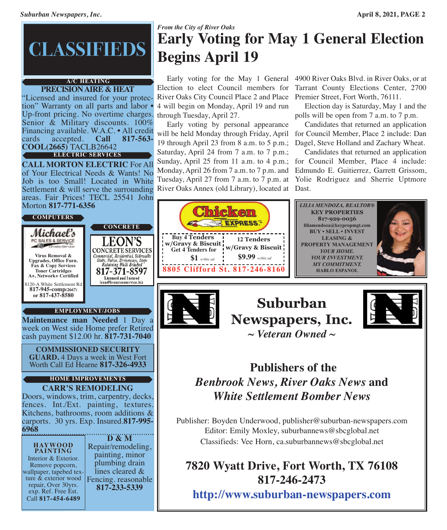# **CLASSIFIEDS**

#### **PRECISIONAIRE & HEAT A/C HEATING**

"Licensed and insured for your protection" Warranty on all parts and labor • Up-front pricing. No overtime charges.<br>Senior & Military discounts. 100% Financing available. W.A.C. • All credit<br>cards accepted. **Call 817-563**cards accepted. **Call 817-563- COOL(2665)** TACLB26642 **ELECTRIC SERVICES**

**CALL MORTON ELECTRIC** For All of Your Electrical Needs & Wants! No Job is too Small! Located in White Settlement & will serve the surrounding areas. Fair Prices! TECL 25541 John Morton **817-771-6356**

**CONCRETE**

EON'S

Retaining Walls Brushed

Licensed and Insured leon@leonstreeservice.biz

#### **COMPUTERS**

Michael's PC SALES & SERVICE **CONCRETE SERVICES** Converted L SERVICES<br>
Commercial, Residential, Sidewalks<br>
Slabs, Patios, Driveways, Steps **Virus Removal & Upgrades, Office Furn. Fax & Copy Services** 817-371-8597 **Toner Cartridges A+, Network+ Certified** 8120-A White Settlement Rd **817-945-comp(2667) or 817-437-8580**

#### **EMPLOYMENT/JOBS**

**Maintenance man Needed** 1 Day a week on West side Home prefer Retired cash payment \$12.00 hr. **817-731-7040**

**COMMISSIONED SECURITY GUARD.** 4 Days a week in West Fort Worth Call Ed Hearne **817-326-4933**

#### **CARR'S REMODELING HOME IMPROVEMENTS**

Doors, windows, trim, carpentry, decks, fences. Int./Ext. painting, textures. Kitchens, bathrooms, room additions & carports. 30 yrs. Exp. Insured.**817-995- 6968**

#### **HAYWOOD PAINTING**

Interior & Exterior.<br>Remove popcorn,<br>wallpaper, tapebed tex-<br>ture & exterior wood repair, Over 30yrs. exp. Ref. Free Est. Call **817-454-6489**

**D & M** Repair/remodeling, painting, minor plumbing drain lines cleared & Fencing. reasonable **817-233-5339**

## *From the City of River Oaks* **Early Voting for May 1 General Election Begins April 19**

 Early voting for the May 1 General 4900 River Oaks Blvd. in River Oaks, or at Election to elect Council members for River Oaks City Council Place 2 and Place 4 will begin on Monday, April 19 and run through Tuesday, April 27.

 Early voting by personal appearance will be held Monday through Friday, April for Council Member, Place 2 include: Dan 19 through April 23 from 8 a.m. to 5 p.m.; Saturday, April 24 from 7 a.m. to 7 p.m.; Sunday, April 25 from 11 a.m. to 4 p.m.; Monday, April 26 from 7 a.m. to 7 p.m. and Tuesday, April 27 from 7 a.m. to 7 p.m. at River Oaks Annex (old Library), located at Dast.

Tarrant County Elections Center, 2700 Premier Street, Fort Worth, 76111.

 Election day is Saturday, May 1 and the polls will be open from 7 a.m. to 7 p.m.

 Candidates that returned an application Dagel, Steve Holland and Zachary Wheat.

 Candidates that returned an application for Council Member, Place 4 include: Edmundo E. Guitierrez, Garrett Grissom, Yolie Rodriguez and Sherrie Uptmore



**Buy 4 Tenders w/Gravy & Biscuit Get 4 Tenders for**

**\$1** *w/this ad*





**Publishers of the**

*Benbrook News, River Oaks News* **and** *White Settlement Bomber News*

Publisher: Boyden Underwood, publisher@suburban-newspapers.com Editor: Emily Moxley, suburbannews@sbcglobal.net Classifieds: Vee Horn, ca.suburbannews@sbcglobal.net

# **7820 Wyatt Drive, Fort Worth, TX 76108 817-246-2473**

**<http://www.suburban-newspapers.com>**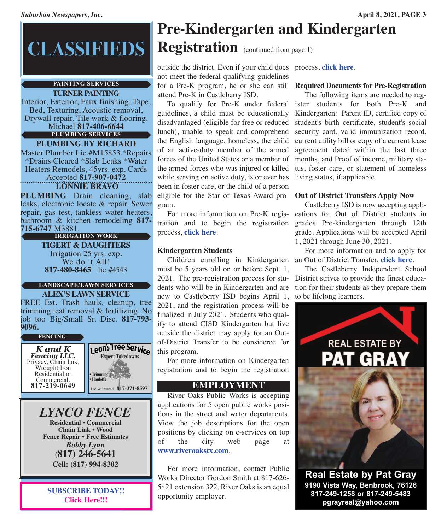# **CLASSIFIEDS**

#### **PAINTING SERVICES**

**TURNER PAINTING** Interior, Exterior, Faux finishing, Tape,<br>Bed, Texturing, Acoustic removal,<br>Drywall repair, Tile work & flooring.<br>Michael **817-406-6644 PLUMBING SERVICES**

**PLUMBING BY RICHARD** Master Plumber Lic.#M15853.\*Repairs \*Drains Cleared \*Slab Leaks \*Water Heaters Remodels, 45yrs. exp. Cards Accepted **817-907-0472 LONNIE BRAVO**

**PLUMBING** Drain cleaning, slab leaks, electronic locate & repair. Sewer repair, gas test, tankless water heaters, bathroom & kitchen remodeling **817- 715-6747** M3881.

**TIGERT & DAUGHTERS** Irrigation <sup>25</sup> yrs. exp. We do it All! **817-480-8465** lic #4543 **IRRIGATION WORK**

### **LANDSCAPE/LAWN SERVICES**

**ALEX'S LAWN SERVICE** FREE Est. Trash hauls, cleanup, tree trimming leaf removal & fertilizing. No job too Big/Small Sr. Disc. **817-793-**

**9096.**



*LYNCO FENCE* **Residential • Commercial Chain Link • Wood Fence Repair • Free Estimates** *Bobby Lynn* **(817) 246-5641 Cell: (817) 994-8302**

**SUBSCRIBE TODAY!! [Click](http://eepurl.com/g3m8OX) Here!!!**

# **Pre-Kindergarten and Kindergarten Registration** (continued from page 1)

outside the district. Even if your child does process, **[click](http://www.castleberryisd.net/family/kinder) here**. not meet the federal qualifying guidelines for a Pre-K program, he or she can still **Required Documents for Pre-Registration** attend Pre-K in Castleberry ISD.

 To qualify for Pre-K under federal ister students for both Pre-K and guidelines, a child must be educationally disadvantaged (eligible for free or reduced lunch), unable to speak and comprehend the English language, homeless, the child of an active-duty member of the armed forces of the United States or a member of the armed forces who was injured or killed while serving on active duty, is or ever has been in foster care, or the child of a person eligible for the Star of Texas Award pro-**Out of District Transfers Apply Now** gram.

 For more information on Pre-K registration and to begin the registration process, **[click](http://www.castleberryisd.net/family/prek) here**.

### **Kindergarten Students**

 Children enrolling in Kindergarten an Out of District Transfer, **[click](http://www.castleberryisd.net/family/oodtransfer) here**. must be 5 years old on or before Sept. 1, 2021. The pre-registration process for students who will be in Kindergarten and are new to Castleberry ISD begins April 1, 2021, and the registration process will be finalized in July 2021. Students who qualify to attend CISD Kindergarten but live outside the district may apply for an Outof-District Transfer to be considered for this program.

 For more information on Kindergarten registration and to begin the registration

### **EMPLOYMENT**

 River Oaks Public Works is accepting applications for 5 open public works positions in the street and water departments. View the job descriptions for the open positions by clicking on e-services on top of the city web page at **<www.riveroakstx.com>**.

 For more information, contact Public Works Director Gordon Smith at 817-626- 5421 extension 322. River Oaks is an equal opportunity employer.

 The following items are needed to reg-Kindergarten: Parent ID, certified copy of student's birth certificate, student's social security card, valid immunization record, current utility bill or copy of a current lease agreement dated within the last three months, and Proof of income, military status, foster care, or statement of homeless living status, if applicable.

 Castleberry ISD is now accepting applications for Out of District students in grades Pre-kindergarten through 12th grade. Applications will be accepted April 1, 2021 through June 30, 2021.

For more information and to apply for

 The Castleberry Independent School District strives to provide the finest education for their students as they prepare them to be lifelong learners.



**Real Estate by Pat Gray 9190 Vista Way, Benbrook, 76126 817-249-1258 or 817-249-5483 pgrayreal@yahoo.com**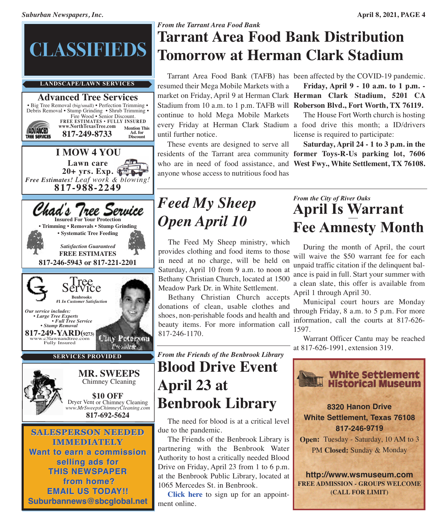

# *From the Tarrant Area Food Bank*

# **Tarrant Area Food Bank Distribution Tomorrow at Herman Clark Stadium**

 Tarrant Area Food Bank (TAFB) has been affected by the COVID-19 pandemic. resumed their Mega Mobile Markets with a Stadium from 10 a.m. to 1 p.m. TAFB will **Roberson Blvd., Fort Worth, TX 76119.** continue to hold Mega Mobile Markets until further notice.

 These events are designed to serve all residents of the Tarrant area community **former Toys-R-Us parking lot, 7606** who are in need of food assistance, and **West Fwy., White Settlement, TX 76108.** anyone whose access to nutritious food has

market on Friday, April 9 at Herman Clark **Herman Clark Stadium, 5201 CA Friday, April 9 - 10 a.m. to 1 p.m. -**

every Friday at Herman Clark Stadium a food drive this month; a ID/drivers The House Fort Worth church is hosting license is required to participate:

 **Saturday, April 24 - 1 to 3 p.m. in the**

# *Feed My Sheep Open April 10*

 The Feed My Sheep ministry, which provides clothing and food items to those in need at no charge, will be held on Saturday, April 10 from 9 a.m. to noon at Bethany Christian Church, located at 1500 Meadow Park Dr. in White Settlement.

 Bethany Christian Church accepts donations of clean, usable clothes and shoes, non-perishable foods and health and beauty items. For more information call 817-246-1170.

# *From the Friends of the Benbrook Library* **Blood Drive Event April 23 at Benbrook Library**

 The need for blood is at a critical level due to the pandemic.

 The Friends of the Benbrook Library is partnering with the Benbrook Water Authority to host a critically needed Blood Drive on Friday, April 23 from 1 to 6 p.m. at the Benbrook Public Library, located at 1065 Mercedes St. in Benbrook.

 **[Click](https://ww3.greatpartners.org/donor/schedules/drive_schedule/123560) here** to sign up for an appointment online.

## *From the City of River Oaks* **April Is Warrant Fee Amnesty Month**

 During the month of April, the court will waive the \$50 warrant fee for each unpaid traffic citation if the delinquent balance is paid in full. Start your summer with a clean slate, this offer is available from April 1 through April 30.

 Municipal court hours are Monday through Friday, 8 a.m. to 5 p.m. For more information, call the courts at 817-626- 1597.

 Warrant Officer Cantu may be reached at 817-626-1991, extension 319.

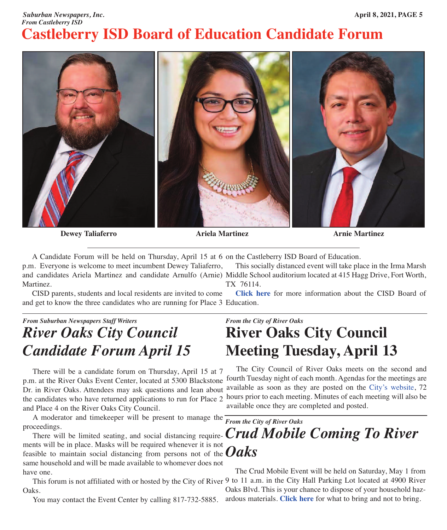### *Suburban Newspapers, Inc.* **April 8, 2021, PAGE 5** *From Castleberry ISD* **Castleberry ISD Board of Education Candidate Forum**



**Dewey Taliaferro Ariela Martinez Arnie Martinez**

A Candidate Forum will be held on Thursday, April 15 at 6 on the Castleberry ISD Board of Education.

p.m. Everyone is welcome to meet incumbent Dewey Taliaferro, and candidates Ariela Martinez and candidate Arnulfo (Arnie) Middle School auditorium located at 415 Hagg Drive, Fort Worth, Martinez. This socially distanced event will take place in the Irma Marsh TX 76114.

 CISD parents, students and local residents are invited to come and get to know the three candidates who are running for Place 3 Education. **[Click](http://www.castleberryisd.net/departments/board) here** for more information about the CISD Board of

## *From Suburban Newspapers Staff Writers River Oaks City Council Candidate Forum April 15*

 There will be a candidate forum on Thursday, April 15 at 7 p.m. at the River Oaks Event Center, located at 5300 Blackstone Dr. in River Oaks. Attendees may ask questions and lean about the candidates who have returned applications to run for Place 2 and Place 4 on the River Oaks City Council.

 A moderator and timekeeper will be present to manage the proceedings.

feasible to maintain social distancing from persons not of the  $Oaks$ ments will be in place. Masks will be required whenever it is not same household and will be made available to whomever does not have one.

This forum is not affiliated with or hosted by the City of River 9 to 11 a.m. in the City Hall Parking Lot located at 4900 River Oaks.

You may contact the Event Center by calling 817-732-5885.

*From the City of River Oaks*

# **River Oaks City Council Meeting Tuesday, April 13**

 The City Council of River Oaks meets on the second and fourth Tuesday night of each month. Agendas for the meetings are available as soon as they are posted on the City's [website,](http://www.riveroakstx.com) 72 hours prior to each meeting. Minutes of each meeting will also be available once they are completed and posted.

*From the City of River Oaks* There will be limited seating, and social distancing require-  $Crud \ Mobile \ Coming \ To \ River$ 

> The Crud Mobile Event will be held on Saturday, May 1 from Oaks Blvd. This is your chance to dispose of your household hazardous materials. **[Click](http://www.riveroakstx.com/doc/HouseholdHazardousWaste03151531.pdf) here** for what to bring and not to bring.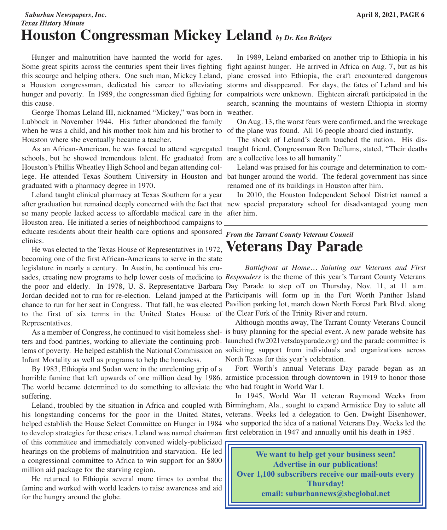*Suburban Newspapers, Inc.* **April 8, 2021, PAGE 6** *Texas History Minute*

# **Houston Congressman Mickey Leland** *by Dr. Ken Bridges*

 Hunger and malnutrition have haunted the world for ages. Some great spirits across the centuries spent their lives fighting fight against hunger. He arrived in Africa on Aug. 7, but as his this scourge and helping others. One such man, Mickey Leland, a Houston congressman, dedicated his career to alleviating hunger and poverty. In 1989, the congressman died fighting for compatriots were unknown. Eighteen aircraft participated in the this cause.

 George Thomas Leland III, nicknamed "Mickey," was born in Lubbock in November 1944. His father abandoned the family when he was a child, and his mother took him and his brother to of the plane was found. All 16 people aboard died instantly. Houston where she eventually became a teacher.

 As an African-American, he was forced to attend segregated traught friend, Congressman Ron Dellums, stated, "Their deaths schools, but he showed tremendous talent. He graduated from are a collective loss to all humanity." Houston's Phillis Wheatley High School and began attending college. He attended Texas Southern University in Houston and bat hunger around the world. The federal government has since graduated with a pharmacy degree in 1970.

 Leland taught clinical pharmacy at Texas Southern for a year after graduation but remained deeply concerned with the fact that new special preparatory school for disadvantaged young men so many people lacked access to affordable medical care in the after him. Houston area. He initiated a series of neighborhood campaigns to educate residents about their health care options and sponsored clinics.

 He was elected to the Texas House of Representatives in 1972, becoming one of the first African-Americans to serve in the state legislature in nearly a century. In Austin, he continued his crusades, creating new programs to help lower costs of medicine to *Responders* is the theme of this year's Tarrant County Veterans the poor and elderly. In 1978, U. S. Representative Barbara Day Parade to step off on Thursday, Nov. 11, at 11 a.m. Jordan decided not to run for re-election. Leland jumped at the Participants will form up in the Fort Worth Panther Island chance to run for her seat in Congress. That fall, he was elected Pavilion parking lot, march down North Forest Park Blvd. along to the first of six terms in the United States House of the Clear Fork of the Trinity River and return. Representatives.

 As a member of Congress, he continued to visit homeless shel-is busy planning for the special event. A new parade website has ters and food pantries, working to alleviate the continuing prob-launched (fw2021vetsdayparade.org) and the parade committee is lems of poverty. He helped establish the National Commission on soliciting support from individuals and organizations across Infant Mortality as well as programs to help the homeless.

 By 1983, Ethiopia and Sudan were in the unrelenting grip of a horrible famine that left upwards of one million dead by 1986. armistice procession through downtown in 1919 to honor those The world became determined to do something to alleviate the who had fought in World War I. suffering.

 Leland, troubled by the situation in Africa and coupled with Birmingham, Ala., sought to expand Armistice Day to salute all his longstanding concerns for the poor in the United States, veterans. Weeks led a delegation to Gen. Dwight Eisenhower, helped establish the House Select Committee on Hunger in 1984 who supported the idea of a national Veterans Day. Weeks led the to develop strategies for these crises. Leland was named chairman first celebration in 1947 and annually until his death in 1985. of this committee and immediately convened widely-publicized hearings on the problems of malnutrition and starvation. He led a congressional committee to Africa to win support for an \$800 million aid package for the starving region.

 He returned to Ethiopia several more times to combat the famine and worked with world leaders to raise awareness and aid for the hungry around the globe.

 In 1989, Leland embarked on another trip to Ethiopia in his plane crossed into Ethiopia, the craft encountered dangerous storms and disappeared. For days, the fates of Leland and his search, scanning the mountains of western Ethiopia in stormy weather.

On Aug. 13, the worst fears were confirmed, and the wreckage

The shock of Leland's death touched the nation. His dis-

 Leland was praised for his courage and determination to comrenamed one of its buildings in Houston after him.

In 2010, the Houston Independent School District named a

### *From the Tarrant County Veterans Council* **Veterans Day Parade**

*Battlefront at Home… Saluting our Veterans and First*

 Although months away, The Tarrant County Veterans Council North Texas for this year's celebration.

Fort Worth's annual Veterans Day parade began as an

In 1945, World War II veteran Raymond Weeks from

**We want to help get your business seen! Advertise in our publications! Over 1,100 subscribers receive our mail-outs every Thursday! email: [suburbannews@sbcglobal.net](http://www.suburban-newspapers.com/contact.html)**